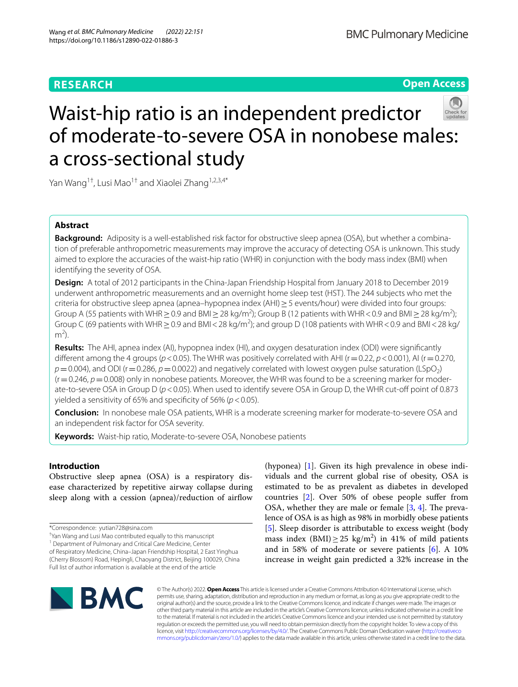## **RESEARCH**

**Open Access**

# Waist-hip ratio is an independent predictor of moderate-to-severe OSA in nonobese males: a cross-sectional study

Yan Wang<sup>1†</sup>, Lusi Mao<sup>1†</sup> and Xiaolei Zhang<sup>1,2,3,4\*</sup>

## **Abstract**

**Background:** Adiposity is a well-established risk factor for obstructive sleep apnea (OSA), but whether a combination of preferable anthropometric measurements may improve the accuracy of detecting OSA is unknown. This study aimed to explore the accuracies of the waist-hip ratio (WHR) in conjunction with the body mass index (BMI) when identifying the severity of OSA.

**Design:** A total of 2012 participants in the China-Japan Friendship Hospital from January 2018 to December 2019 underwent anthropometric measurements and an overnight home sleep test (HST). The 244 subjects who met the criteria for obstructive sleep apnea (apnea–hypopnea index (AHI)≥5 events/hour) were divided into four groups: Group A (55 patients with WHR  $\geq$  0.9 and BMI  $\geq$  28 kg/m<sup>2</sup>); Group B (12 patients with WHR < 0.9 and BMI  $\geq$  28 kg/m<sup>2</sup>); Group C (69 patients with WHR  $\geq$  0.9 and BMI < 28 kg/m<sup>2</sup>); and group D (108 patients with WHR < 0.9 and BMI < 28 kg/  $m<sup>2</sup>$ ).

**Results:** The AHI, apnea index (AI), hypopnea index (HI), and oxygen desaturation index (ODI) were signifcantly different among the 4 groups ( $p$ <0.05). The WHR was positively correlated with AHI ( $r$  = 0.22,  $p$  < 0.001), AI ( $r$  = 0.270,  $p=0.004$ ), and ODI (r = 0.286,  $p=0.0022$ ) and negatively correlated with lowest oxygen pulse saturation (LSpO<sub>2</sub>)  $(r=0.246, p=0.008)$  only in nonobese patients. Moreover, the WHR was found to be a screening marker for moderate-to-severe OSA in Group D (*p*<0.05). When used to identify severe OSA in Group D, the WHR cut-of point of 0.873 yielded a sensitivity of 65% and specifcity of 56% (*p*<0.05).

**Conclusion:** In nonobese male OSA patients, WHR is a moderate screening marker for moderate-to-severe OSA and an independent risk factor for OSA severity.

**Keywords:** Waist-hip ratio, Moderate-to-severe OSA, Nonobese patients

## **Introduction**

Obstructive sleep apnea (OSA) is a respiratory disease characterized by repetitive airway collapse during sleep along with a cession (apnea)/reduction of airfow

<sup>1</sup> Department of Pulmonary and Critical Care Medicine, Center

of Respiratory Medicine, China–Japan Friendship Hospital, 2 East Yinghua (Cherry Blossom) Road, Hepingli, Chaoyang District, Beijing 100029, China Full list of author information is available at the end of the article

(hyponea) [\[1](#page-7-0)]. Given its high prevalence in obese individuals and the current global rise of obesity, OSA is estimated to be as prevalent as diabetes in developed countries [[2](#page-7-1)]. Over 50% of obese people sufer from OSA, whether they are male or female  $[3, 4]$  $[3, 4]$  $[3, 4]$  $[3, 4]$ . The prevalence of OSA is as high as 98% in morbidly obese patients [[5\]](#page-7-4). Sleep disorder is attributable to excess weight (body mass index  $(BMI) \ge 25 \text{ kg/m}^2$  in 41% of mild patients and in 58% of moderate or severe patients [\[6](#page-7-5)]. A 10% increase in weight gain predicted a 32% increase in the



© The Author(s) 2022. **Open Access** This article is licensed under a Creative Commons Attribution 4.0 International License, which permits use, sharing, adaptation, distribution and reproduction in any medium or format, as long as you give appropriate credit to the original author(s) and the source, provide a link to the Creative Commons licence, and indicate if changes were made. The images or other third party material in this article are included in the article's Creative Commons licence, unless indicated otherwise in a credit line to the material. If material is not included in the article's Creative Commons licence and your intended use is not permitted by statutory regulation or exceeds the permitted use, you will need to obtain permission directly from the copyright holder. To view a copy of this licence, visit [http://creativecommons.org/licenses/by/4.0/.](http://creativecommons.org/licenses/by/4.0/) The Creative Commons Public Domain Dedication waiver ([http://creativeco](http://creativecommons.org/publicdomain/zero/1.0/) [mmons.org/publicdomain/zero/1.0/](http://creativecommons.org/publicdomain/zero/1.0/)) applies to the data made available in this article, unless otherwise stated in a credit line to the data.

<sup>\*</sup>Correspondence: yutian728@sina.com

<sup>†</sup> Yan Wang and Lusi Mao contributed equally to this manuscript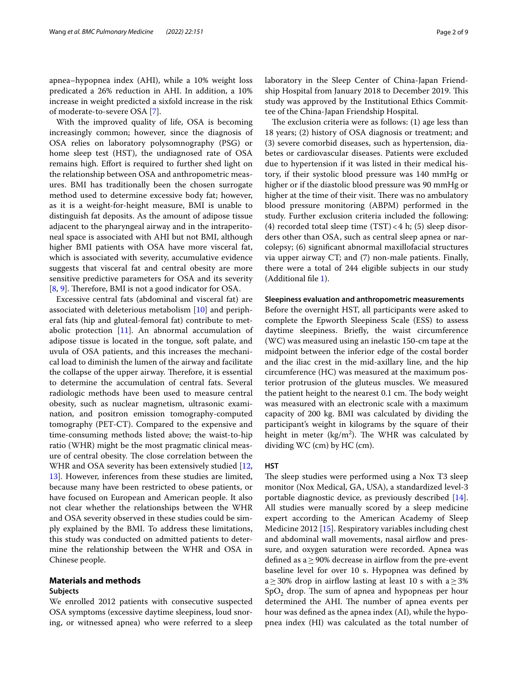apnea–hypopnea index (AHI), while a 10% weight loss predicated a 26% reduction in AHI. In addition, a 10% increase in weight predicted a sixfold increase in the risk of moderate-to-severe OSA [\[7\]](#page-7-6).

With the improved quality of life, OSA is becoming increasingly common; however, since the diagnosis of OSA relies on laboratory polysomnography (PSG) or home sleep test (HST), the undiagnosed rate of OSA remains high. Effort is required to further shed light on the relationship between OSA and anthropometric measures. BMI has traditionally been the chosen surrogate method used to determine excessive body fat; however, as it is a weight-for-height measure, BMI is unable to distinguish fat deposits. As the amount of adipose tissue adjacent to the pharyngeal airway and in the intraperitoneal space is associated with AHI but not BMI, although higher BMI patients with OSA have more visceral fat, which is associated with severity, accumulative evidence suggests that visceral fat and central obesity are more sensitive predictive parameters for OSA and its severity [[8,](#page-7-7) [9](#page-7-8)]. Therefore, BMI is not a good indicator for OSA.

Excessive central fats (abdominal and visceral fat) are associated with deleterious metabolism [[10\]](#page-7-9) and peripheral fats (hip and gluteal-femoral fat) contribute to metabolic protection  $[11]$ . An abnormal accumulation of adipose tissue is located in the tongue, soft palate, and uvula of OSA patients, and this increases the mechanical load to diminish the lumen of the airway and facilitate the collapse of the upper airway. Therefore, it is essential to determine the accumulation of central fats. Several radiologic methods have been used to measure central obesity, such as nuclear magnetism, ultrasonic examination, and positron emission tomography-computed tomography (PET-CT). Compared to the expensive and time-consuming methods listed above; the waist-to-hip ratio (WHR) might be the most pragmatic clinical measure of central obesity. The close correlation between the WHR and OSA severity has been extensively studied [\[12](#page-7-11), [13\]](#page-7-12). However, inferences from these studies are limited, because many have been restricted to obese patients, or have focused on European and American people. It also not clear whether the relationships between the WHR and OSA severity observed in these studies could be simply explained by the BMI. To address these limitations, this study was conducted on admitted patients to determine the relationship between the WHR and OSA in Chinese people.

## **Materials and methods**

## **Subjects**

We enrolled 2012 patients with consecutive suspected OSA symptoms (excessive daytime sleepiness, loud snoring, or witnessed apnea) who were referred to a sleep laboratory in the Sleep Center of China-Japan Friendship Hospital from January 2018 to December 2019. This study was approved by the Institutional Ethics Commit-

tee of the China-Japan Friendship Hospital. The exclusion criteria were as follows:  $(1)$  age less than 18 years; (2) history of OSA diagnosis or treatment; and (3) severe comorbid diseases, such as hypertension, diabetes or cardiovascular diseases. Patients were excluded due to hypertension if it was listed in their medical history, if their systolic blood pressure was 140 mmHg or higher or if the diastolic blood pressure was 90 mmHg or higher at the time of their visit. There was no ambulatory blood pressure monitoring (ABPM) performed in the study. Further exclusion criteria included the following: (4) recorded total sleep time  $(TST) < 4$  h; (5) sleep disorders other than OSA, such as central sleep apnea or narcolepsy; (6) signifcant abnormal maxillofacial structures via upper airway CT; and (7) non-male patients. Finally, there were a total of 244 eligible subjects in our study (Additional fle [1](#page-7-13)).

## **Sleepiness evaluation and anthropometric measurements**

Before the overnight HST, all participants were asked to complete the Epworth Sleepiness Scale (ESS) to assess daytime sleepiness. Briefy, the waist circumference (WC) was measured using an inelastic 150-cm tape at the midpoint between the inferior edge of the costal border and the iliac crest in the mid-axillary line, and the hip circumference (HC) was measured at the maximum posterior protrusion of the gluteus muscles. We measured the patient height to the nearest 0.1 cm. The body weight was measured with an electronic scale with a maximum capacity of 200 kg. BMI was calculated by dividing the participant's weight in kilograms by the square of their height in meter ( $\text{kg/m}^2$ ). The WHR was calculated by dividing WC (cm) by HC (cm).

## **HST**

The sleep studies were performed using a Nox T3 sleep monitor (Nox Medical, GA, USA), a standardized level-3 portable diagnostic device, as previously described [\[14](#page-7-14)]. All studies were manually scored by a sleep medicine expert according to the American Academy of Sleep Medicine 2012 [[15\]](#page-7-15). Respiratory variables including chest and abdominal wall movements, nasal airflow and pressure, and oxygen saturation were recorded. Apnea was defined as a  $\geq$  90% decrease in airflow from the pre-event baseline level for over 10 s. Hypopnea was defned by a  $\geq$  30% drop in airflow lasting at least 10 s with a  $\geq$  3%  $SpO<sub>2</sub>$  drop. The sum of apnea and hypopneas per hour determined the AHI. The number of apnea events per hour was defned as the apnea index (AI), while the hypopnea index (HI) was calculated as the total number of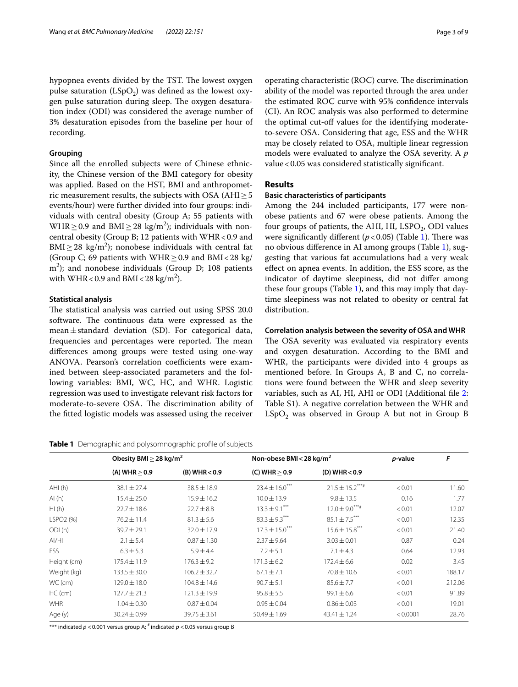hypopnea events divided by the TST. The lowest oxygen pulse saturation  $(LSpO<sub>2</sub>)$  was defined as the lowest oxygen pulse saturation during sleep. The oxygen desaturation index (ODI) was considered the average number of 3% desaturation episodes from the baseline per hour of recording.

## **Grouping**

Since all the enrolled subjects were of Chinese ethnicity, the Chinese version of the BMI category for obesity was applied. Based on the HST, BMI and anthropometric measurement results, the subjects with OSA ( $AHI \geq 5$ events/hour) were further divided into four groups: individuals with central obesity (Group A; 55 patients with WHR  $\geq$  0.9 and BMI  $\geq$  28 kg/m<sup>2</sup>); individuals with noncentral obesity (Group B; 12 patients with WHR < 0.9 and  $\text{BMI} \geq 28 \text{ kg/m}^2$ ); nonobese individuals with central fat (Group C; 69 patients with WHR  $\geq$  0.9 and BMI < 28 kg/ m2 ); and nonobese individuals (Group D; 108 patients with WHR <  $0.9$  and BMI <  $28 \text{ kg/m}^2$ ).

## **Statistical analysis**

The statistical analysis was carried out using SPSS 20.0 software. The continuous data were expressed as the mean $\pm$ standard deviation (SD). For categorical data, frequencies and percentages were reported. The mean diferences among groups were tested using one-way ANOVA. Pearson's correlation coefficients were examined between sleep-associated parameters and the following variables: BMI, WC, HC, and WHR. Logistic regression was used to investigate relevant risk factors for moderate-to-severe OSA. The discrimination ability of the ftted logistic models was assessed using the receiver

<span id="page-2-0"></span>**Table 1** Demographic and polysomnographic profle of subjects

operating characteristic (ROC) curve. The discrimination ability of the model was reported through the area under the estimated ROC curve with 95% confdence intervals (CI). An ROC analysis was also performed to determine the optimal cut-off values for the identifying moderateto-severe OSA. Considering that age, ESS and the WHR may be closely related to OSA, multiple linear regression models were evaluated to analyze the OSA severity. A *p* value<0.05 was considered statistically signifcant.

## **Results**

## **Basic characteristics of participants**

Among the 244 included participants, 177 were nonobese patients and 67 were obese patients. Among the four groups of patients, the AHI, HI, LSPO $_2$ , ODI values were significantly different  $(p < 0.05)$  (Table [1\)](#page-2-0). There was no obvious diference in AI among groups (Table [1](#page-2-0)), suggesting that various fat accumulations had a very weak efect on apnea events. In addition, the ESS score, as the indicator of daytime sleepiness, did not difer among these four groups (Table [1\)](#page-2-0), and this may imply that daytime sleepiness was not related to obesity or central fat distribution.

## **Correlation analysis between the severity of OSA and WHR**

The OSA severity was evaluated via respiratory events and oxygen desaturation. According to the BMI and WHR, the participants were divided into 4 groups as mentioned before. In Groups A, B and C, no correlations were found between the WHR and sleep severity variables, such as AI, HI, AHI or ODI (Additional fle [2](#page-7-16): Table S1). A negative correlation between the WHR and  $LSpO<sub>2</sub>$  was observed in Group A but not in Group B

|                       | Obesity BMI $\geq$ 28 kg/m <sup>2</sup> |                   | Non-obese BMI < 28 kg/m <sup>2</sup> |                     | p-value  | F      |
|-----------------------|-----------------------------------------|-------------------|--------------------------------------|---------------------|----------|--------|
|                       | (A) WHR $> 0.9$                         | $(B)$ WHR $<$ 0.9 | (C) WHR $> 0.9$                      | $(D)$ WHR $< 0.9$   |          |        |
| AHI(h)                | $38.1 \pm 27.4$                         | $38.5 \pm 18.9$   | $23.4 \pm 16.0$ ***                  | $21.5 \pm 15.2***$  | < 0.01   | 11.60  |
| AI(h)                 | $15.4 \pm 25.0$                         | $15.9 \pm 16.2$   | $10.0 \pm 13.9$                      | $9.8 \pm 13.5$      | 0.16     | 1.77   |
| HI(h)                 | $22.7 \pm 18.6$                         | $22.7 \pm 8.8$    | $13.3 \pm 9.1$ ***                   | $12.0 \pm 9.0***$ # | < 0.01   | 12.07  |
| LSPO <sub>2</sub> (%) | $76.2 \pm 11.4$                         | $81.3 \pm 5.6$    | $83.3 \pm 9.3***$                    | $85.1 \pm 7.5$ ***  | < 0.01   | 12.35  |
| ODI(h)                | $39.7 \pm 29.1$                         | $32.0 \pm 17.9$   | $17.3 \pm 15.0$ <sup>***</sup>       | $15.6 \pm 15.8***$  | < 0.01   | 21.40  |
| AI/HI                 | $2.1 \pm 5.4$                           | $0.87 \pm 1.30$   | $2.37 \pm 9.64$                      | $3.03 \pm 0.01$     | 0.87     | 0.24   |
| ESS                   | $6.3 \pm 5.3$                           | $5.9 \pm 4.4$     | $7.2 \pm 5.1$                        | $7.1 \pm 4.3$       | 0.64     | 12.93  |
| Height (cm)           | $175.4 \pm 11.9$                        | $176.3 \pm 9.2$   | $171.3 \pm 6.2$                      | $172.4 \pm 6.6$     | 0.02     | 3.45   |
| Weight (kg)           | $133.5 \pm 30.0$                        | $106.2 \pm 32.7$  | $67.1 \pm 7.1$                       | $70.8 \pm 10.6$     | < 0.01   | 188.17 |
| WC (cm)               | $129.0 \pm 18.0$                        | $104.8 \pm 14.6$  | $90.7 \pm 5.1$                       | $85.6 \pm 7.7$      | < 0.01   | 212.06 |
| $HC$ (cm)             | $127.7 \pm 21.3$                        | $121.3 \pm 19.9$  | $95.8 \pm 5.5$                       | $99.1 \pm 6.6$      | < 0.01   | 91.89  |
| <b>WHR</b>            | $1.04 \pm 0.30$                         | $0.87 \pm 0.04$   | $0.95 \pm 0.04$                      | $0.86 \pm 0.03$     | < 0.01   | 19.01  |
| Age (y)               | $30.24 \pm 0.99$                        | $39.75 \pm 3.61$  | $50.49 \pm 1.69$                     | $43.41 \pm 1.24$    | < 0.0001 | 28.76  |

\*\*\* indicated *p* <0.001 versus group A; # indicated *p* <0.05 versus group B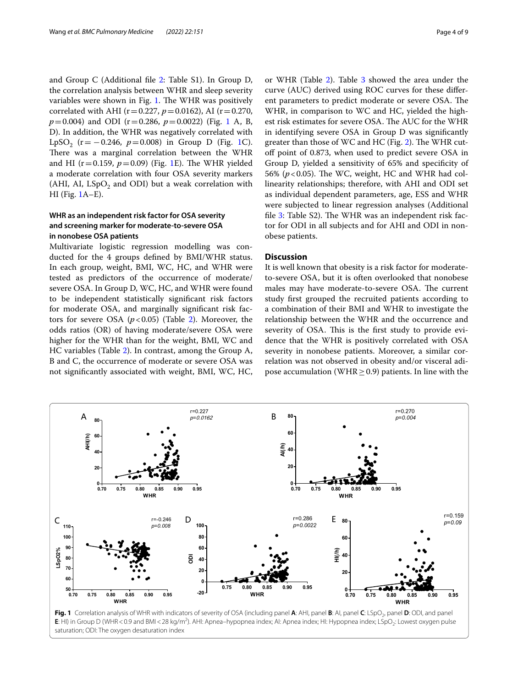and Group C (Additional fle [2:](#page-7-16) Table S1). In Group D, the correlation analysis between WHR and sleep severity variables were shown in Fig. [1](#page-3-0). The WHR was positively correlated with AHI ( $r = 0.227$ ,  $p = 0.0162$ ), AI ( $r = 0.270$ , *p*=0.004) and ODI (r=0.286, *p*=0.0022) (Fig. [1](#page-3-0) A, B, D). In addition, the WHR was negatively correlated with LpSO<sub>2</sub> (r =  $-0.246$ ,  $p = 0.008$ ) in Group D (Fig. [1](#page-3-0)C). There was a marginal correlation between the WHR and HI ( $r = 0.159$  $r = 0.159$  $r = 0.159$ ,  $p = 0.09$ ) (Fig. 1E). The WHR yielded a moderate correlation with four OSA severity markers (AHI, AI,  $LSpO<sub>2</sub>$  and ODI) but a weak correlation with HI (Fig. [1](#page-3-0)A–E).

## **WHR as an independent risk factor for OSA severity and screening marker for moderate-to-severe OSA in nonobese OSA patients**

Multivariate logistic regression modelling was conducted for the 4 groups defned by BMI/WHR status. In each group, weight, BMI, WC, HC, and WHR were tested as predictors of the occurrence of moderate/ severe OSA. In Group D, WC, HC, and WHR were found to be independent statistically signifcant risk factors for moderate OSA, and marginally signifcant risk factors for severe OSA  $(p<0.05)$  (Table [2\)](#page-4-0). Moreover, the odds ratios (OR) of having moderate/severe OSA were higher for the WHR than for the weight, BMI, WC and HC variables (Table [2](#page-4-0)). In contrast, among the Group A, B and C, the occurrence of moderate or severe OSA was not signifcantly associated with weight, BMI, WC, HC,

or WHR (Table [2\)](#page-4-0). Table [3](#page-5-0) showed the area under the curve (AUC) derived using ROC curves for these diferent parameters to predict moderate or severe OSA. The WHR, in comparison to WC and HC, yielded the highest risk estimates for severe OSA. The AUC for the WHR in identifying severe OSA in Group D was signifcantly greater than those of WC and HC (Fig. [2](#page-5-1)). The WHR cutof point of 0.873, when used to predict severe OSA in Group D, yielded a sensitivity of 65% and specifcity of 56% ( $p$ <0.05). The WC, weight, HC and WHR had collinearity relationships; therefore, with AHI and ODI set as individual dependent parameters, age, ESS and WHR were subjected to linear regression analyses (Additional file [3](#page-7-17): Table S2). The WHR was an independent risk factor for ODI in all subjects and for AHI and ODI in nonobese patients.

## **Discussion**

It is well known that obesity is a risk factor for moderateto-severe OSA, but it is often overlooked that nonobese males may have moderate-to-severe OSA. The current study frst grouped the recruited patients according to a combination of their BMI and WHR to investigate the relationship between the WHR and the occurrence and severity of OSA. This is the first study to provide evidence that the WHR is positively correlated with OSA severity in nonobese patients. Moreover, a similar correlation was not observed in obesity and/or visceral adipose accumulation (WHR  $\geq$  0.9) patients. In line with the



<span id="page-3-0"></span>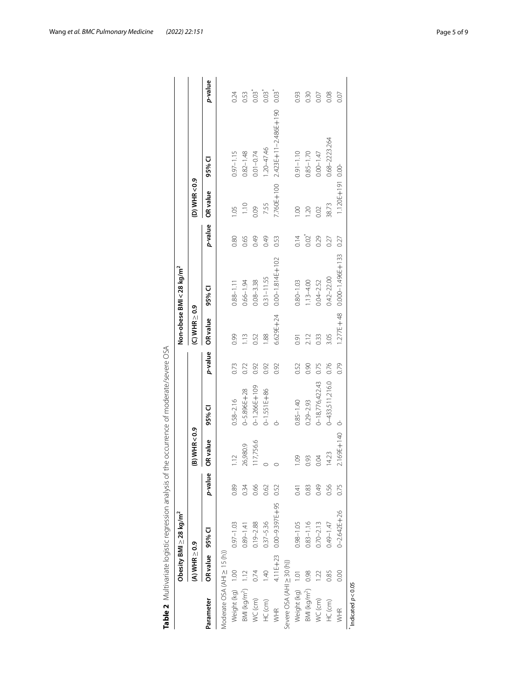|                                  |                      | Obesity BMI $\geq$ 28 kg/m <sup>2</sup> |         |                 |                    |         |                      | Non-obese BMI < 28 kg/m <sup>2</sup> |            |                  |                                 |         |
|----------------------------------|----------------------|-----------------------------------------|---------|-----------------|--------------------|---------|----------------------|--------------------------------------|------------|------------------|---------------------------------|---------|
|                                  | $(A)$ WHR $\geq$ 0.9 |                                         |         | $(B)$ WHR < 0.9 |                    |         | $(C)$ WHR $\geq 0.9$ |                                      |            | (D) WHR<0.9      |                                 |         |
| Parameter                        | OR value 95% CI      |                                         | p-value | OR value        | 95% CI             | p-value | OR value             | 95% CI                               | p-value    | OR value         | 95% CI                          | p-value |
| Moderate OSA (AHI $\geq$ 15 (h)) |                      |                                         |         |                 |                    |         |                      |                                      |            |                  |                                 |         |
| Weight (kg) 1.00                 |                      | $0.97 - 1.03$                           | 0.89    | 1.12            | $0.58 - 2.16$      | 0.73    | 0.99                 | $0.88 - 1.11$                        | 0.80       | 1.05             | $0.97 - 1.15$                   | 0.24    |
| BMI (kg/m <sup>2</sup> ) 1.12    |                      | $0.89 - 1.41$                           | 0.34    | 26,980.9        | $0 - 5.896E + 28$  | 0.72    | 1.13                 | $0.66 - 1.94$                        | 0.65       | 1.10             | $0.82 - 1.48$                   | 0.53    |
| $WC$ (cm)                        | 0.74                 | $0.19 - 2.88$                           | 0.66    | 117,756.6       | $0 - 1.266E + 109$ | 0.92    | 0.52                 | $0.08 - 3.38$                        | 0.49       | 0.09             | $0.01 - 0.74$                   | 0.03    |
| HC (cm)                          | $\frac{40}{5}$       | $0.37 - 5.36$                           | 0.62    |                 | $0 - 1.551E + 86$  | 0.92    | 1.88                 | $0.31 - 11.55$                       | 0.49       | 7.55             | $1.20 - 47.46$                  | 0.03    |
| WHR                              |                      | 4.11E+23 0.00-9.397E+95                 | 0.52    |                 |                    | 0.92    | $6.629E + 24$        | $0.00 - 1.814E + 102$                | 0.53       |                  | 7.760E+100 2.423E+11-2.486E+190 | 0.03    |
| Severe OSA (AHI ≥ 30 (h))        |                      |                                         |         |                 |                    |         |                      |                                      |            |                  |                                 |         |
| Weight (kg) 1.01                 |                      | $0.98 - 1.05$                           | 0.41    | 0.09            | $0.85 - 1.40$      | 0.52    | 0.91                 | $0.80 - 1.03$                        | 0.14       | 001              | $0.91 - 1.10$                   | 0.93    |
| BMI (kg/m <sup>2</sup> ) 0.98    |                      | $0.83 - 1.16$                           | 0.83    | 0.93            | $0.29 - 2.93$      | 0.90    | 2.12                 | $1.13 - 4.00$                        | $0.02^{*}$ | 1.20             | $0.85 - 1.70$                   | 0.30    |
| WC (cm)                          | 122                  | $0.70 - 2.13$                           | 0.49    | 0.04            | 0-18,776,422.43    | 0.75    | 0.33                 | $0.04 - 2.52$                        | 0.29       | 0.02             | $0.00 - 1.47$                   | 0.07    |
| HC (cm)                          | 0.85                 | $0.49 - 1.47$                           | 0.56    | 14.23           | 0-433,511,216.0    | 0.76    | 3.05                 | $0.42 - 22.00$                       | 0.27       | 38.73            | $0.68 - 2223.264$               | 0.08    |
| WHR                              | 0.00                 | $0 - 2.642E + 26$                       | 0.75    | 2.169E+140      |                    | 0.79    | $1.277E + 48$        | $0.000 - 1.496E + 133$               | 0.27       | 1.120E+191 0.00- |                                 | 0.07    |
| $n$ dicated $p < 0.05$           |                      |                                         |         |                 |                    |         |                      |                                      |            |                  |                                 |         |

<span id="page-4-0"></span>

| j<br>I                                  |
|-----------------------------------------|
| İ<br>١<br>I<br>ì                        |
| l<br>j                                  |
| ļ<br>S                                  |
| l<br>j<br>ī<br>5                        |
| $\overline{\phantom{a}}$<br>١           |
| $\frac{1}{2}$                           |
| j<br>j                                  |
| I<br>-<br>I<br>۱<br>Ì                   |
| J                                       |
| .<br>.<br>.<br>Ś<br>j<br>Ò<br>j         |
| I<br>١                                  |
| I<br>j<br>$\overline{\phantom{a}}$<br>j |
| ł<br>١                                  |
| l<br>I<br>١                             |
| j<br>١                                  |
| I<br>ļ                                  |
| َ<br>٤                                  |
| I<br>١<br>Ċ<br>١                        |
| j<br>١<br>J                             |
| ς<br>Σ<br>5<br>j<br>j                   |
| i<br>i<br>j                             |
| ĵ<br>Ï<br>١                             |
| j<br>)<br>I<br>١                        |
| Ì<br>1<br>j                             |
| ï<br>I<br>١<br>۱<br>ì                   |
| j<br>I                                  |
|                                         |
| ١                                       |
| r<br>J                                  |
| a,<br>$\ddot{ }$                        |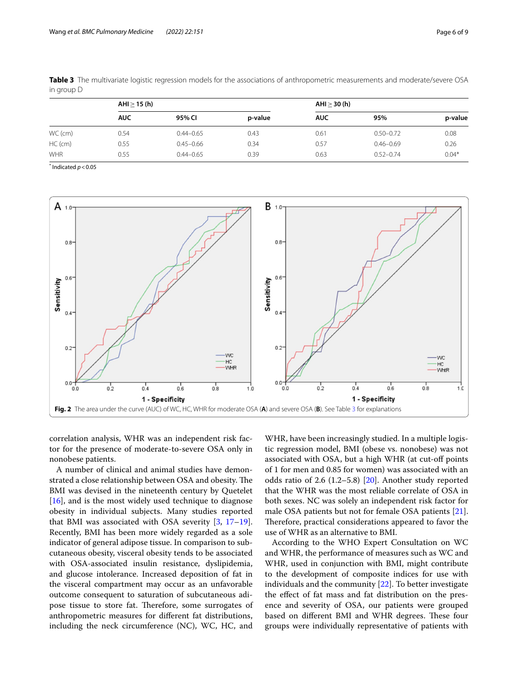|           | AHI > 15(h) |               |         | AHI $\geq$ 30 (h) |               |         |
|-----------|-------------|---------------|---------|-------------------|---------------|---------|
|           | <b>AUC</b>  | 95% CI        | p-value | <b>AUC</b>        | 95%           | p-value |
| WC (cm)   | 0.54        | $0.44 - 0.65$ | 0.43    | 0.61              | $0.50 - 0.72$ | 0.08    |
| $HC$ (cm) | 0.55        | $0.45 - 0.66$ | 0.34    | 0.57              | $0.46 - 0.69$ | 0.26    |
| WHR       | 0.55        | $0.44 - 0.65$ | 0.39    | 0.63              | $0.52 - 0.74$ | $0.04*$ |

<span id="page-5-0"></span>**Table 3** The multivariate logistic regression models for the associations of anthropometric measurements and moderate/severe OSA in group D

 $*$  Indicated  $p < 0.05$ 



<span id="page-5-1"></span>correlation analysis, WHR was an independent risk factor for the presence of moderate-to-severe OSA only in nonobese patients.

A number of clinical and animal studies have demonstrated a close relationship between OSA and obesity. The BMI was devised in the nineteenth century by Quetelet [[16\]](#page-7-18), and is the most widely used technique to diagnose obesity in individual subjects. Many studies reported that BMI was associated with OSA severity  $[3, 17-19]$  $[3, 17-19]$  $[3, 17-19]$  $[3, 17-19]$  $[3, 17-19]$ . Recently, BMI has been more widely regarded as a sole indicator of general adipose tissue. In comparison to subcutaneous obesity, visceral obesity tends to be associated with OSA-associated insulin resistance, dyslipidemia, and glucose intolerance. Increased deposition of fat in the visceral compartment may occur as an unfavorable outcome consequent to saturation of subcutaneous adipose tissue to store fat. Therefore, some surrogates of anthropometric measures for diferent fat distributions, including the neck circumference (NC), WC, HC, and

WHR, have been increasingly studied. In a multiple logistic regression model, BMI (obese vs. nonobese) was not associated with OSA, but a high WHR (at cut-off points of 1 for men and 0.85 for women) was associated with an odds ratio of 2.6  $(1.2-5.8)$   $[20]$  $[20]$ . Another study reported that the WHR was the most reliable correlate of OSA in both sexes. NC was solely an independent risk factor for male OSA patients but not for female OSA patients [\[21](#page-7-22)]. Therefore, practical considerations appeared to favor the use of WHR as an alternative to BMI.

According to the WHO Expert Consultation on WC and WHR, the performance of measures such as WC and WHR, used in conjunction with BMI, might contribute to the development of composite indices for use with individuals and the community [[22](#page-7-23)]. To better investigate the efect of fat mass and fat distribution on the presence and severity of OSA, our patients were grouped based on different BMI and WHR degrees. These four groups were individually representative of patients with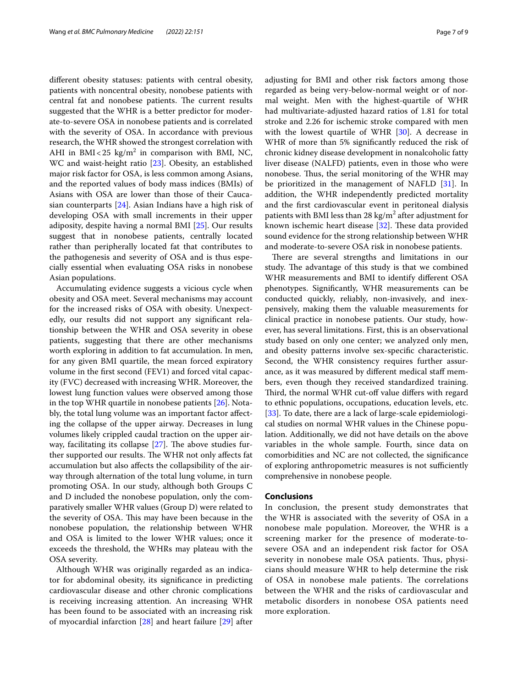diferent obesity statuses: patients with central obesity, patients with noncentral obesity, nonobese patients with central fat and nonobese patients. The current results suggested that the WHR is a better predictor for moderate-to-severe OSA in nonobese patients and is correlated with the severity of OSA. In accordance with previous research, the WHR showed the strongest correlation with AHI in  $BMI < 25 \text{ kg/m}^2$  in comparison with BMI, NC, WC and waist-height ratio [[23\]](#page-7-24). Obesity, an established major risk factor for OSA, is less common among Asians, and the reported values of body mass indices (BMIs) of Asians with OSA are lower than those of their Caucasian counterparts [\[24\]](#page-8-0). Asian Indians have a high risk of developing OSA with small increments in their upper adiposity, despite having a normal BMI [\[25](#page-8-1)]. Our results suggest that in nonobese patients, centrally located rather than peripherally located fat that contributes to the pathogenesis and severity of OSA and is thus especially essential when evaluating OSA risks in nonobese Asian populations.

Accumulating evidence suggests a vicious cycle when obesity and OSA meet. Several mechanisms may account for the increased risks of OSA with obesity. Unexpectedly, our results did not support any signifcant relationship between the WHR and OSA severity in obese patients, suggesting that there are other mechanisms worth exploring in addition to fat accumulation. In men, for any given BMI quartile, the mean forced expiratory volume in the frst second (FEV1) and forced vital capacity (FVC) decreased with increasing WHR. Moreover, the lowest lung function values were observed among those in the top WHR quartile in nonobese patients [[26\]](#page-8-2). Notably, the total lung volume was an important factor afecting the collapse of the upper airway. Decreases in lung volumes likely crippled caudal traction on the upper airway, facilitating its collapse  $[27]$  $[27]$ . The above studies further supported our results. The WHR not only affects fat accumulation but also afects the collapsibility of the airway through alternation of the total lung volume, in turn promoting OSA. In our study, although both Groups C and D included the nonobese population, only the comparatively smaller WHR values (Group D) were related to the severity of OSA. This may have been because in the nonobese population, the relationship between WHR and OSA is limited to the lower WHR values; once it exceeds the threshold, the WHRs may plateau with the OSA severity.

Although WHR was originally regarded as an indicator for abdominal obesity, its signifcance in predicting cardiovascular disease and other chronic complications is receiving increasing attention. An increasing WHR has been found to be associated with an increasing risk of myocardial infarction [\[28](#page-8-4)] and heart failure [\[29](#page-8-5)] after adjusting for BMI and other risk factors among those regarded as being very-below-normal weight or of normal weight. Men with the highest-quartile of WHR had multivariate-adjusted hazard ratios of 1.81 for total stroke and 2.26 for ischemic stroke compared with men with the lowest quartile of WHR [\[30](#page-8-6)]. A decrease in WHR of more than 5% signifcantly reduced the risk of chronic kidney disease development in nonalcoholic fatty liver disease (NALFD) patients, even in those who were nonobese. Thus, the serial monitoring of the WHR may be prioritized in the management of NAFLD [[31\]](#page-8-7). In addition, the WHR independently predicted mortality and the frst cardiovascular event in peritoneal dialysis patients with BMI less than 28  $\text{kg/m}^2$  after adjustment for known ischemic heart disease  $[32]$  $[32]$ . These data provided sound evidence for the strong relationship between WHR and moderate-to-severe OSA risk in nonobese patients.

There are several strengths and limitations in our study. The advantage of this study is that we combined WHR measurements and BMI to identify diferent OSA phenotypes. Signifcantly, WHR measurements can be conducted quickly, reliably, non-invasively, and inexpensively, making them the valuable measurements for clinical practice in nonobese patients. Our study, however, has several limitations. First, this is an observational study based on only one center; we analyzed only men, and obesity patterns involve sex-specifc characteristic. Second, the WHR consistency requires further assurance, as it was measured by diferent medical staf members, even though they received standardized training. Third, the normal WHR cut-off value differs with regard to ethnic populations, occupations, education levels, etc. [[33\]](#page-8-9). To date, there are a lack of large-scale epidemiological studies on normal WHR values in the Chinese population. Additionally, we did not have details on the above variables in the whole sample. Fourth, since data on comorbidities and NC are not collected, the signifcance of exploring anthropometric measures is not sufficiently comprehensive in nonobese people.

## **Conclusions**

In conclusion, the present study demonstrates that the WHR is associated with the severity of OSA in a nonobese male population. Moreover, the WHR is a screening marker for the presence of moderate-tosevere OSA and an independent risk factor for OSA severity in nonobese male OSA patients. Thus, physicians should measure WHR to help determine the risk of OSA in nonobese male patients. The correlations between the WHR and the risks of cardiovascular and metabolic disorders in nonobese OSA patients need more exploration.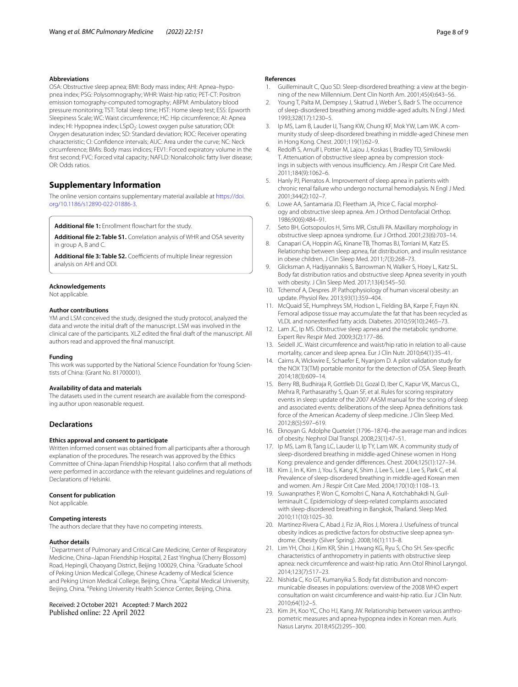### **Abbreviations**

OSA: Obstructive sleep apnea; BMI: Body mass index; AHI: Apnea–hypopnea index; PSG: Polysomnography; WHR: Waist-hip ratio; PET-CT: Positron emission tomography-computed tomography; ABPM: Ambulatory blood pressure monitoring; TST: Total sleep time; HST: Home sleep test; ESS: Epworth Sleepiness Scale; WC: Waist circumference; HC: Hip circumference; AI: Apnea index; HI: Hypopnea index; LSpO<sub>2</sub>: Lowest oxygen pulse saturation; ODI: Oxygen desaturation index; SD: Standard deviation; ROC: Receiver operating characteristic; CI: Confdence intervals; AUC: Area under the curve; NC: Neck circumference; BMIs: Body mass indices; FEV1: Forced expiratory volume in the frst second; FVC: Forced vital capacity; NAFLD: Nonalcoholic fatty liver disease; OR: Odds ratios.

## **Supplementary Information**

The online version contains supplementary material available at [https://doi.](https://doi.org/10.1186/s12890-022-01886-3) [org/10.1186/s12890-022-01886-3](https://doi.org/10.1186/s12890-022-01886-3).

<span id="page-7-16"></span><span id="page-7-13"></span>Additional file 1: Enrollment flowchart for the study.

<span id="page-7-17"></span>**Additional fle 2: Table S1.** Correlation analysis of WHR and OSA severity in group A, B and C.

Additional file 3: Table S2. Coefficients of multiple linear regression analysis on AHI and ODI.

#### **Acknowledgements**

Not applicable.

#### **Author contributions**

YM and LSM conceived the study, designed the study protocol, analyzed the data and wrote the initial draft of the manuscript. LSM was involved in the clinical care of the participants. XLZ edited the fnal draft of the manuscript. All authors read and approved the fnal manuscript.

#### **Funding**

This work was supported by the National Science Foundation for Young Scientists of China: (Grant No. 81700001).

#### **Availability of data and materials**

The datasets used in the current research are available from the corresponding author upon reasonable request.

## **Declarations**

#### **Ethics approval and consent to participate**

Written informed consent was obtained from all participants after a thorough explanation of the procedures. The research was approved by the Ethics Committee of China-Japan Friendship Hospital. I also confrm that all methods were performed in accordance with the relevant guidelines and regulations of Declarations of Helsinki.

#### **Consent for publication**

Not applicable.

#### **Competing interests**

The authors declare that they have no competing interests.

#### **Author details**

<sup>1</sup> Department of Pulmonary and Critical Care Medicine, Center of Respiratory Medicine, China–Japan Friendship Hospital, 2 East Yinghua (Cherry Blossom) Road, Hepingli, Chaoyang District, Beijing 100029, China. <sup>2</sup>Graduate School of Peking Union Medical College, Chinese Academy of Medical Science and Peking Union Medical College, Beijing, China. <sup>3</sup>Capital Medical University, Beijing, China. <sup>4</sup>Peking University Health Science Center, Beijing, China.

## Received: 2 October 2021 Accepted: 7 March 2022

#### **References**

- <span id="page-7-0"></span>1. Guilleminault C, Quo SD. Sleep-disordered breathing: a view at the beginning of the new Millennium. Dent Clin North Am. 2001;45(4):643–56.
- <span id="page-7-1"></span>2. Young T, Palta M, Dempsey J, Skatrud J, Weber S, Badr S. The occurrence of sleep-disordered breathing among middle-aged adults. N Engl J Med. 1993;328(17):1230–5.
- <span id="page-7-2"></span>3. Ip MS, Lam B, Lauder IJ, Tsang KW, Chung KF, Mok YW, Lam WK. A community study of sleep-disordered breathing in middle-aged Chinese men in Hong Kong. Chest. 2001;119(1):62–9.
- <span id="page-7-3"></span>4. Redolf S, Arnulf I, Pottier M, Lajou J, Koskas I, Bradley TD, Similowski T. Attenuation of obstructive sleep apnea by compression stockings in subjects with venous insufficiency. Am J Respir Crit Care Med. 2011;184(9):1062–6.
- <span id="page-7-4"></span>5. Hanly PJ, Pierratos A. Improvement of sleep apnea in patients with chronic renal failure who undergo nocturnal hemodialysis. N Engl J Med. 2001;344(2):102–7.
- <span id="page-7-5"></span>6. Lowe AA, Santamaria JD, Fleetham JA, Price C. Facial morphology and obstructive sleep apnea. Am J Orthod Dentofacial Orthop. 1986;90(6):484–91.
- <span id="page-7-6"></span>7. Seto BH, Gotsopoulos H, Sims MR, Cistulli PA. Maxillary morphology in obstructive sleep apnoea syndrome. Eur J Orthod. 2001;23(6):703–14.
- <span id="page-7-7"></span>8. Canapari CA, Hoppin AG, Kinane TB, Thomas BJ, Torriani M, Katz ES. Relationship between sleep apnea, fat distribution, and insulin resistance in obese children. J Clin Sleep Med. 2011;7(3):268–73.
- <span id="page-7-8"></span>9. Glicksman A, Hadjiyannakis S, Barrowman N, Walker S, Hoey L, Katz SL. Body fat distribution ratios and obstructive sleep Apnea severity in youth with obesity. J Clin Sleep Med. 2017;13(4):545–50.
- <span id="page-7-9"></span>10. Tchernof A, Despres JP. Pathophysiology of human visceral obesity: an update. Physiol Rev. 2013;93(1):359–404.
- <span id="page-7-10"></span>11. McQuaid SE, Humphreys SM, Hodson L, Fielding BA, Karpe F, Frayn KN. Femoral adipose tissue may accumulate the fat that has been recycled as VLDL and nonesterifed fatty acids. Diabetes. 2010;59(10):2465–73.
- <span id="page-7-11"></span>12. Lam JC, Ip MS. Obstructive sleep apnea and the metabolic syndrome. Expert Rev Respir Med. 2009;3(2):177–86.
- <span id="page-7-12"></span>13. Seidell JC. Waist circumference and waist/hip ratio in relation to all-cause mortality, cancer and sleep apnea. Eur J Clin Nutr. 2010;64(1):35–41.
- <span id="page-7-14"></span>14. Cairns A, Wickwire E, Schaefer E, Nyanjom D. A pilot validation study for the NOX T3(TM) portable monitor for the detection of OSA. Sleep Breath. 2014;18(3):609–14.
- <span id="page-7-15"></span>15. Berry RB, Budhiraja R, Gottlieb DJ, Gozal D, Iber C, Kapur VK, Marcus CL, Mehra R, Parthasarathy S, Quan SF, et al. Rules for scoring respiratory events in sleep: update of the 2007 AASM manual for the scoring of sleep and associated events: deliberations of the sleep Apnea defnitions task force of the American Academy of sleep medicine. J Clin Sleep Med. 2012;8(5):597–619.
- <span id="page-7-18"></span>16. Eknoyan G. Adolphe Quetelet (1796–1874)–the average man and indices of obesity. Nephrol Dial Transpl. 2008;23(1):47–51.
- <span id="page-7-19"></span>17. Ip MS, Lam B, Tang LC, Lauder IJ, Ip TY, Lam WK. A community study of sleep-disordered breathing in middle-aged Chinese women in Hong Kong: prevalence and gender diferences. Chest. 2004;125(1):127–34.
- 18. Kim J, In K, Kim J, You S, Kang K, Shim J, Lee S, Lee J, Lee S, Park C, et al. Prevalence of sleep-disordered breathing in middle-aged Korean men and women. Am J Respir Crit Care Med. 2004;170(10):1108–13.
- <span id="page-7-20"></span>19. Suwanprathes P, Won C, Komoltri C, Nana A, Kotchabhakdi N, Guilleminault C. Epidemiology of sleep-related complaints associated with sleep-disordered breathing in Bangkok, Thailand. Sleep Med. 2010;11(10):1025–30.
- <span id="page-7-21"></span>20. Martinez-Rivera C, Abad J, Fiz JA, Rios J, Morera J. Usefulness of truncal obesity indices as predictive factors for obstructive sleep apnea syndrome. Obesity (Silver Spring). 2008;16(1):113–8.
- <span id="page-7-22"></span>21. Lim YH, Choi J, Kim KR, Shin J, Hwang KG, Ryu S, Cho SH. Sex-specifc characteristics of anthropometry in patients with obstructive sleep apnea: neck circumference and waist-hip ratio. Ann Otol Rhinol Laryngol. 2014;123(7):517–23.
- <span id="page-7-23"></span>22. Nishida C, Ko GT, Kumanyika S. Body fat distribution and noncommunicable diseases in populations: overview of the 2008 WHO expert consultation on waist circumference and waist-hip ratio. Eur J Clin Nutr. 2010;64(1):2–5.
- <span id="page-7-24"></span>23. Kim JH, Koo YC, Cho HJ, Kang JW. Relationship between various anthropometric measures and apnea-hypopnea index in Korean men. Auris Nasus Larynx. 2018;45(2):295–300.